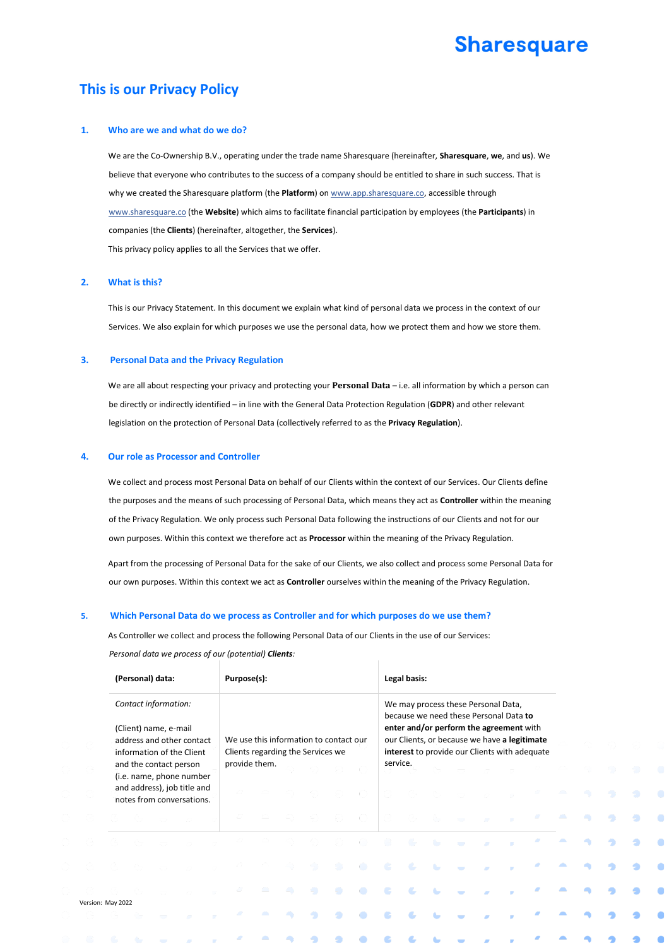# **Sharesquare**

## **This is our Privacy Policy**

#### **1. Who are we and what do we do?**

We are the Co-Ownership B.V., operating under the trade name Sharesquare (hereinafter, **Sharesquare**, **we**, and **us**). We believe that everyone who contributes to the success of a company should be entitled to share in such success. That is why we created the Sharesquare platform (the Platform) on www.app.sharesquare.co, accessible through www.sharesquare.co (the **Website**) which aims to facilitate financial participation by employees (the **Participants**) in companies (the **Clients**) (hereinafter, altogether, the **Services**). This privacy policy applies to all the Services that we offer.

#### **2. What is this?**

This is our Privacy Statement. In this document we explain what kind of personal data we process in the context of our Services. We also explain for which purposes we use the personal data, how we protect them and how we store them.

#### **3. Personal Data and the Privacy Regulation**

We are all about respecting your privacy and protecting your **Personal Data** – i.e. all information by which a person can be directly or indirectly identified – in line with the General Data Protection Regulation (**GDPR**) and other relevant legislation on the protection of Personal Data (collectively referred to as the **Privacy Regulation**).

#### **4. Our role as Processor and Controller**

We collect and process most Personal Data on behalf of our Clients within the context of our Services. Our Clients define the purposes and the means of such processing of Personal Data, which means they act as **Controller** within the meaning of the Privacy Regulation. We only process such Personal Data following the instructions of our Clients and not for our own purposes. Within this context we therefore act as **Processor** within the meaning of the Privacy Regulation.

Apart from the processing of Personal Data for the sake of our Clients, we also collect and process some Personal Data for our own purposes. Within this context we act as **Controller** ourselves within the meaning of the Privacy Regulation.

#### **5. Which Personal Data do we process as Controller and for which purposes do we use them?**

As Controller we collect and process the following Personal Data of our Clients in the use of our Services: *Personal data we process of our (potential) Clients:* 

|                   | (Personal) data:                                       |  |                        |                                                          |  | Purpose(s):                                                                 |  |          |    |  |           |                                                                                                                          | Legal basis: |                |             |           |  |  |             |  |  |
|-------------------|--------------------------------------------------------|--|------------------------|----------------------------------------------------------|--|-----------------------------------------------------------------------------|--|----------|----|--|-----------|--------------------------------------------------------------------------------------------------------------------------|--------------|----------------|-------------|-----------|--|--|-------------|--|--|
|                   | Contact information:<br>(Client) name, e-mail          |  |                        |                                                          |  |                                                                             |  |          |    |  |           | We may process these Personal Data,<br>because we need these Personal Data to<br>enter and/or perform the agreement with |              |                |             |           |  |  |             |  |  |
|                   | address and other contact<br>information of the Client |  |                        |                                                          |  | We use this information to contact our<br>Clients regarding the Services we |  |          |    |  |           | our Clients, or because we have a legitimate<br>interest to provide our Clients with adequate                            |              |                |             |           |  |  |             |  |  |
|                   |                                                        |  | and the contact person | (i.e. name, phone number                                 |  | provide them.                                                               |  |          |    |  |           | service.                                                                                                                 |              |                |             |           |  |  |             |  |  |
|                   |                                                        |  |                        | and address), job title and<br>notes from conversations. |  |                                                                             |  |          |    |  |           |                                                                                                                          |              |                |             |           |  |  | $\triangle$ |  |  |
|                   |                                                        |  |                        |                                                          |  |                                                                             |  |          |    |  |           |                                                                                                                          |              |                | <b>STOP</b> | $\sim$    |  |  | <b>A</b>    |  |  |
|                   |                                                        |  |                        |                                                          |  |                                                                             |  |          |    |  |           | æ                                                                                                                        | -a           | $\sim$         |             | <b>AB</b> |  |  |             |  |  |
|                   |                                                        |  |                        |                                                          |  |                                                                             |  |          |    |  | $\bullet$ | $\cdot$ 6                                                                                                                | $\sim$ 6.    | <b>Service</b> | $\sim$      |           |  |  |             |  |  |
| Version: May 2022 |                                                        |  |                        |                                                          |  |                                                                             |  | <b>A</b> | -9 |  | œ         | -e.                                                                                                                      | œ,           |                |             |           |  |  |             |  |  |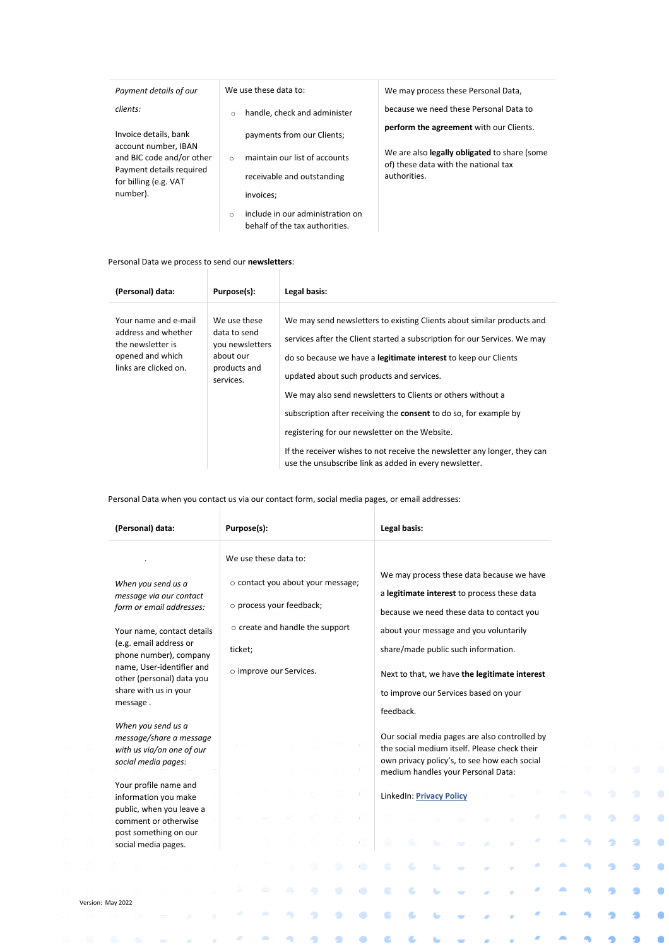| Payment details of our                            | We use these data to:                                                          | We may process these Personal Data,                                                  |  |  |  |  |  |
|---------------------------------------------------|--------------------------------------------------------------------------------|--------------------------------------------------------------------------------------|--|--|--|--|--|
| clients:                                          | handle, check and administer<br>$\circ$                                        | because we need these Personal Data to                                               |  |  |  |  |  |
| Invoice details, bank<br>account number, IBAN     | payments from our Clients;                                                     | perform the agreement with our Clients.                                              |  |  |  |  |  |
| and BIC code and/or other                         | maintain our list of accounts<br>$\bigcap$                                     | We are also legally obligated to share (some<br>of) these data with the national tax |  |  |  |  |  |
| Payment details required<br>for billing (e.g. VAT | receivable and outstanding                                                     | authorities.                                                                         |  |  |  |  |  |
| number).                                          | invoices:                                                                      |                                                                                      |  |  |  |  |  |
|                                                   | include in our administration on<br>$\Omega$<br>behalf of the tax authorities. |                                                                                      |  |  |  |  |  |

#### Personal Data we process to send our **newsletters**:

| (Personal) data:                                                                                              | Purpose(s):                                                                               | Legal basis:                                                                                                                                                                                                                                                                                                                                                                                                                                                                                                                                                                                                   |
|---------------------------------------------------------------------------------------------------------------|-------------------------------------------------------------------------------------------|----------------------------------------------------------------------------------------------------------------------------------------------------------------------------------------------------------------------------------------------------------------------------------------------------------------------------------------------------------------------------------------------------------------------------------------------------------------------------------------------------------------------------------------------------------------------------------------------------------------|
| Your name and e-mail<br>address and whether<br>the newsletter is<br>opened and which<br>links are clicked on. | We use these<br>data to send<br>you newsletters<br>about our<br>products and<br>services. | We may send newsletters to existing Clients about similar products and<br>services after the Client started a subscription for our Services. We may<br>do so because we have a <b>legitimate interest</b> to keep our Clients<br>updated about such products and services.<br>We may also send newsletters to Clients or others without a<br>subscription after receiving the <b>consent</b> to do so, for example by<br>registering for our newsletter on the Website.<br>If the receiver wishes to not receive the newsletter any longer, they can<br>use the unsubscribe link as added in every newsletter. |

Personal Data when you contact us via our contact form, social media pages, or email addresses:<br>|

| (Personal) data:                                                                                  | Purpose(s):                                                 |  |  |  |  |  | Legal basis:                        |                                                                                                                                    |                          |                                                                                                                                               |  |  |  |  |  |  |
|---------------------------------------------------------------------------------------------------|-------------------------------------------------------------|--|--|--|--|--|-------------------------------------|------------------------------------------------------------------------------------------------------------------------------------|--------------------------|-----------------------------------------------------------------------------------------------------------------------------------------------|--|--|--|--|--|--|
|                                                                                                   | We use these data to:                                       |  |  |  |  |  |                                     |                                                                                                                                    |                          |                                                                                                                                               |  |  |  |  |  |  |
| When you send us a                                                                                | o contact you about your message;                           |  |  |  |  |  |                                     | We may process these data because we have                                                                                          |                          |                                                                                                                                               |  |  |  |  |  |  |
| message via our contact<br>form or email addresses:                                               | o process your feedback;<br>o create and handle the support |  |  |  |  |  |                                     | a legitimate interest to process these data<br>because we need these data to contact you<br>about your message and you voluntarily |                          |                                                                                                                                               |  |  |  |  |  |  |
| Your name, contact details                                                                        |                                                             |  |  |  |  |  |                                     |                                                                                                                                    |                          |                                                                                                                                               |  |  |  |  |  |  |
| (e.g. email address or<br>phone number), company                                                  | ticket;                                                     |  |  |  |  |  | share/made public such information. |                                                                                                                                    |                          |                                                                                                                                               |  |  |  |  |  |  |
| name, User-identifier and<br>other (personal) data you                                            | o improve our Services.                                     |  |  |  |  |  |                                     | Next to that, we have the legitimate interest                                                                                      |                          |                                                                                                                                               |  |  |  |  |  |  |
| share with us in your                                                                             |                                                             |  |  |  |  |  |                                     | to improve our Services based on your                                                                                              |                          |                                                                                                                                               |  |  |  |  |  |  |
| message.                                                                                          |                                                             |  |  |  |  |  |                                     | feedback.                                                                                                                          |                          |                                                                                                                                               |  |  |  |  |  |  |
| When you send us a<br>message/share a message<br>with us via/on one of our<br>social media pages: |                                                             |  |  |  |  |  |                                     |                                                                                                                                    |                          | Our social media pages are also controlled by<br>the social medium itself. Please check their<br>own privacy policy's, to see how each social |  |  |  |  |  |  |
|                                                                                                   |                                                             |  |  |  |  |  |                                     |                                                                                                                                    |                          | medium handles your Personal Data:                                                                                                            |  |  |  |  |  |  |
| Your profile name and<br>information you make                                                     |                                                             |  |  |  |  |  |                                     |                                                                                                                                    | LinkedIn: Privacy Policy |                                                                                                                                               |  |  |  |  |  |  |
| public, when you leave a<br>comment or otherwise                                                  |                                                             |  |  |  |  |  |                                     |                                                                                                                                    |                          |                                                                                                                                               |  |  |  |  |  |  |
| post something on our<br>social media pages.                                                      |                                                             |  |  |  |  |  |                                     |                                                                                                                                    |                          |                                                                                                                                               |  |  |  |  |  |  |
|                                                                                                   |                                                             |  |  |  |  |  |                                     |                                                                                                                                    |                          |                                                                                                                                               |  |  |  |  |  |  |
|                                                                                                   |                                                             |  |  |  |  |  | <b>A A A A A</b>                    |                                                                                                                                    |                          |                                                                                                                                               |  |  |  |  |  |  |

Ò

 $\bullet$ 

۵

Ġ

Ċ.

Ġ

 $\mathbf{z}$ 

Ð

Ð

 $\bullet$ 

 $\bullet$ 

 $\bullet$ 

 $\bullet$ 

 $\bullet$ 

 $\bullet$ 

 $\bullet$ 

 $\bullet$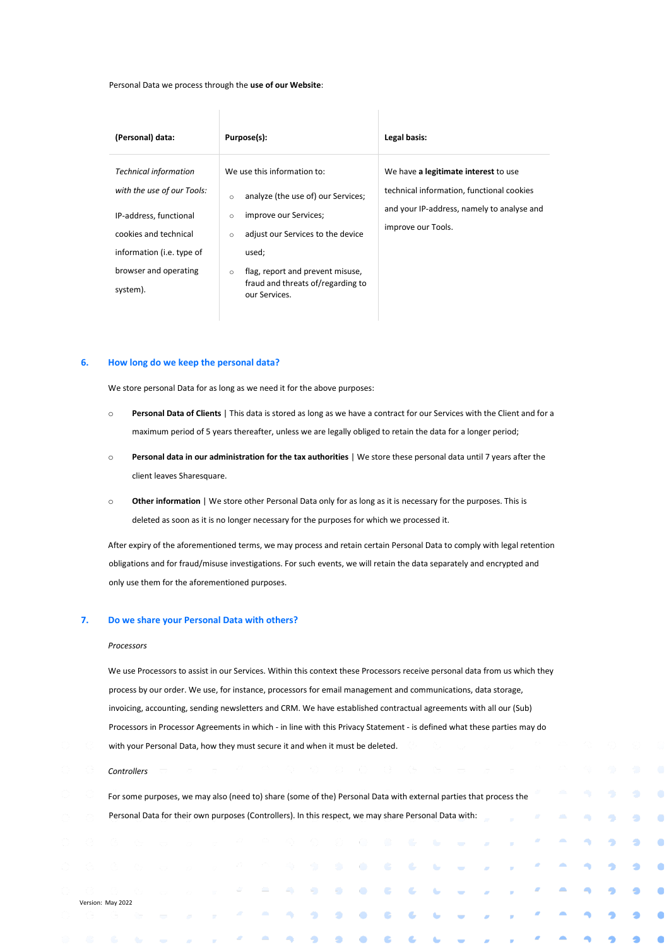Personal Data we process through the **use of our Website**:

| (Personal) data:                                                             | Purpose(s):                                                                                       | Legal basis:                                                                      |  |  |  |  |  |
|------------------------------------------------------------------------------|---------------------------------------------------------------------------------------------------|-----------------------------------------------------------------------------------|--|--|--|--|--|
| <b>Technical information</b><br>with the use of our Tools:                   | We use this information to:<br>analyze (the use of) our Services;<br>$\circ$                      | We have a legitimate interest to use<br>technical information, functional cookies |  |  |  |  |  |
| IP-address, functional<br>cookies and technical<br>information (i.e. type of | improve our Services;<br>$\circ$<br>adjust our Services to the device<br>$\circ$<br>used;         | and your IP-address, namely to analyse and<br>improve our Tools.                  |  |  |  |  |  |
| browser and operating<br>system).                                            | flag, report and prevent misuse,<br>$\circ$<br>fraud and threats of/regarding to<br>our Services. |                                                                                   |  |  |  |  |  |

#### **6. How long do we keep the personal data?**

We store personal Data for as long as we need it for the above purposes:

- o **Personal Data of Clients** | This data is stored as long as we have a contract for our Services with the Client and for a maximum period of 5 years thereafter, unless we are legally obliged to retain the data for a longer period;
- o **Personal data in our administration for the tax authorities** | We store these personal data until 7 years after the client leaves Sharesquare.
- o **Other information** | We store other Personal Data only for as long as it is necessary for the purposes. This is deleted as soon as it is no longer necessary for the purposes for which we processed it.

After expiry of the aforementioned terms, we may process and retain certain Personal Data to comply with legal retention obligations and for fraud/misuse investigations. For such events, we will retain the data separately and encrypted and only use them for the aforementioned purposes.

#### **7. Do we share your Personal Data with others?**

#### *Processors*

We use Processors to assist in our Services. Within this context these Processors receive personal data from us which they process by our order. We use, for instance, processors for email management and communications, data storage, invoicing, accounting, sending newsletters and CRM. We have established contractual agreements with all our (Sub) Processors in Processor Agreements in which - in line with this Privacy Statement - is defined what these parties may do with your Personal Data, how they must secure it and when it must be deleted.

*Controllers*

For some purposes, we may also (need to) share (some of the) Personal Data with external parties that process the Personal Data for their own purposes (Controllers). In this respect, we may share Personal Data with:

ō

Ô

 $\bullet$ 

ä

ä

٠

۰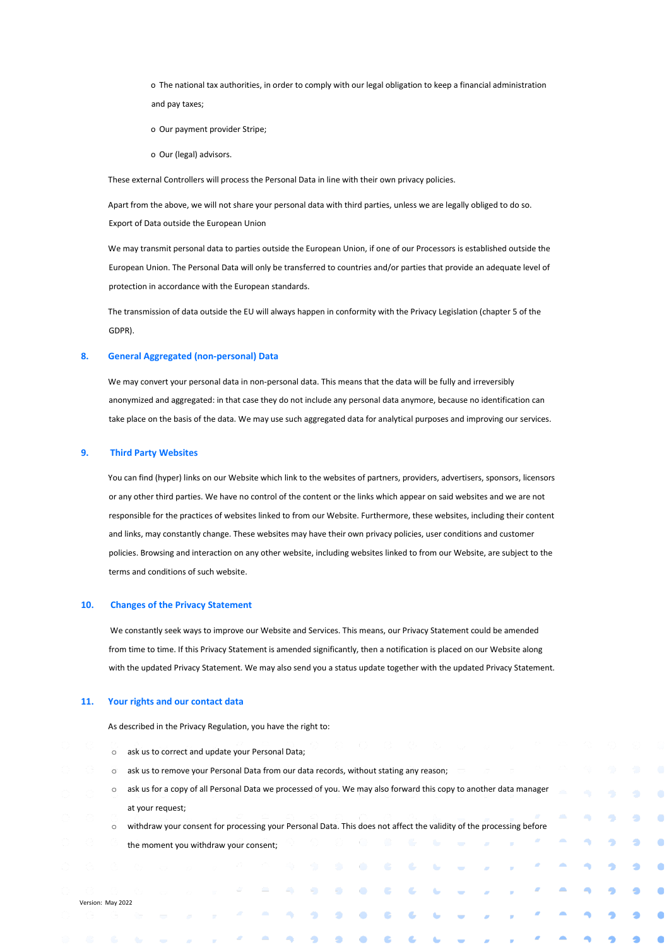o The national tax authorities, in order to comply with our legal obligation to keep a financial administration and pay taxes;

- o Our payment provider Stripe;
- o Our (legal) advisors.

These external Controllers will process the Personal Data in line with their own privacy policies.

Apart from the above, we will not share your personal data with third parties, unless we are legally obliged to do so. Export of Data outside the European Union

We may transmit personal data to parties outside the European Union, if one of our Processors is established outside the European Union. The Personal Data will only be transferred to countries and/or parties that provide an adequate level of protection in accordance with the European standards.

The transmission of data outside the EU will always happen in conformity with the Privacy Legislation (chapter 5 of the GDPR).

#### **8. General Aggregated (non-personal) Data**

We may convert your personal data in non-personal data. This means that the data will be fully and irreversibly anonymized and aggregated: in that case they do not include any personal data anymore, because no identification can take place on the basis of the data. We may use such aggregated data for analytical purposes and improving our services.

#### **9. Third Party Websites**

You can find (hyper) links on our Website which link to the websites of partners, providers, advertisers, sponsors, licensors or any other third parties. We have no control of the content or the links which appear on said websites and we are not responsible for the practices of websites linked to from our Website. Furthermore, these websites, including their content and links, may constantly change. These websites may have their own privacy policies, user conditions and customer policies. Browsing and interaction on any other website, including websites linked to from our Website, are subject to the terms and conditions of such website.

#### **10. Changes of the Privacy Statement**

We constantly seek ways to improve our Website and Services. This means, our Privacy Statement could be amended from time to time. If this Privacy Statement is amended significantly, then a notification is placed on our Website along with the updated Privacy Statement. We may also send you a status update together with the updated Privacy Statement.

#### **11. Your rights and our contact data**

As described in the Privacy Regulation, you have the right to:

- o ask us to correct and update your Personal Data;
- o ask us to remove your Personal Data from our data records, without stating any reason;
- o ask us for a copy of all Personal Data we processed of you. We may also forward this copy to another data manager at your request;

Ġ,

ō

 $\bullet$ 

 $\bullet$ 

ă,

Đ

٥

♠

o withdraw your consent for processing your Personal Data. This does not affect the validity of the processing before the moment you withdraw your consent;